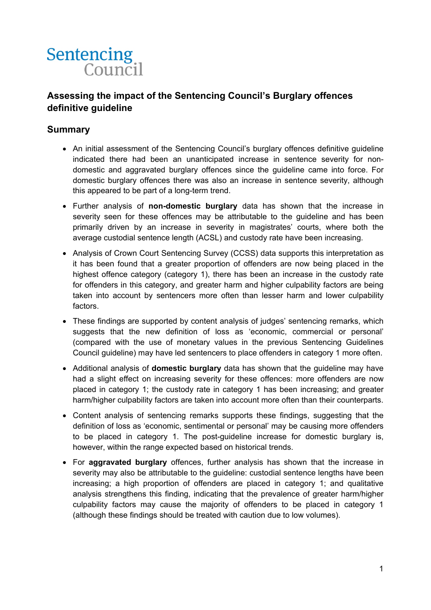

## **Assessing the impact of the Sentencing Council's Burglary offences definitive guideline**

#### **Summary**

- An initial assessment of the Sentencing Council's burglary offences definitive guideline indicated there had been an unanticipated increase in sentence severity for nondomestic and aggravated burglary offences since the guideline came into force. For domestic burglary offences there was also an increase in sentence severity, although this appeared to be part of a long-term trend.
- Further analysis of **non-domestic burglary** data has shown that the increase in severity seen for these offences may be attributable to the guideline and has been primarily driven by an increase in severity in magistrates' courts, where both the average custodial sentence length (ACSL) and custody rate have been increasing.
- Analysis of Crown Court Sentencing Survey (CCSS) data supports this interpretation as it has been found that a greater proportion of offenders are now being placed in the highest offence category (category 1), there has been an increase in the custody rate for offenders in this category, and greater harm and higher culpability factors are being taken into account by sentencers more often than lesser harm and lower culpability factors.
- These findings are supported by content analysis of judges' sentencing remarks, which suggests that the new definition of loss as 'economic, commercial or personal' (compared with the use of monetary values in the previous Sentencing Guidelines Council guideline) may have led sentencers to place offenders in category 1 more often.
- Additional analysis of **domestic burglary** data has shown that the guideline may have had a slight effect on increasing severity for these offences: more offenders are now placed in category 1; the custody rate in category 1 has been increasing; and greater harm/higher culpability factors are taken into account more often than their counterparts.
- Content analysis of sentencing remarks supports these findings, suggesting that the definition of loss as 'economic, sentimental or personal' may be causing more offenders to be placed in category 1. The post-guideline increase for domestic burglary is, however, within the range expected based on historical trends.
- For **aggravated burglary** offences, further analysis has shown that the increase in severity may also be attributable to the guideline: custodial sentence lengths have been increasing; a high proportion of offenders are placed in category 1; and qualitative analysis strengthens this finding, indicating that the prevalence of greater harm/higher culpability factors may cause the majority of offenders to be placed in category 1 (although these findings should be treated with caution due to low volumes).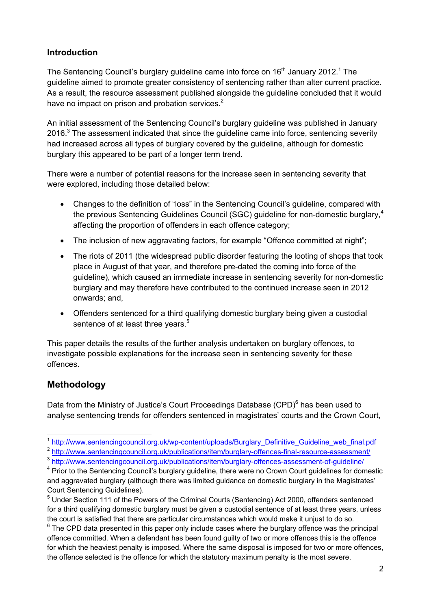### **Introduction**

The Sentencing Council's burglary guideline came into force on  $16<sup>th</sup>$  January 2012.<sup>1</sup> The guideline aimed to promote greater consistency of sentencing rather than alter current practice. As a result, the resource assessment published alongside the guideline concluded that it would have no impact on prison and probation services.<sup>2</sup>

An initial assessment of the Sentencing Council's burglary guideline was published in January 2016. $3$  The assessment indicated that since the guideline came into force, sentencing severity had increased across all types of burglary covered by the guideline, although for domestic burglary this appeared to be part of a longer term trend.

There were a number of potential reasons for the increase seen in sentencing severity that were explored, including those detailed below:

- Changes to the definition of "loss" in the Sentencing Council's guideline, compared with the previous Sentencing Guidelines Council (SGC) guideline for non-domestic burglary,<sup>4</sup> affecting the proportion of offenders in each offence category;
- The inclusion of new aggravating factors, for example "Offence committed at night";
- The riots of 2011 (the widespread public disorder featuring the looting of shops that took place in August of that year, and therefore pre-dated the coming into force of the guideline), which caused an immediate increase in sentencing severity for non-domestic burglary and may therefore have contributed to the continued increase seen in 2012 onwards; and,
- Offenders sentenced for a third qualifying domestic burglary being given a custodial sentence of at least three years.<sup>5</sup>

This paper details the results of the further analysis undertaken on burglary offences, to investigate possible explanations for the increase seen in sentencing severity for these offences.

# **Methodology**

Data from the Ministry of Justice's Court Proceedings Database (CPD)<sup>6</sup> has been used to analyse sentencing trends for offenders sentenced in magistrates' courts and the Crown Court,

<sup>&</sup>lt;sup>1</sup> http://www.sentencingcouncil.org.uk/wp-content/uploads/Burglary\_Definitive\_Guideline\_web\_final.pdf

<sup>&</sup>lt;sup>2</sup> http://www.sentencingcouncil.org.uk/publications/item/burglary-offences-final-resource-assessment/

<sup>3</sup> http://www.sentencingcouncil.org.uk/publications/item/burglary-offences-assessment-of-guideline/ 4

<sup>&</sup>lt;sup>4</sup> Prior to the Sentencing Council's burglary guideline, there were no Crown Court guidelines for domestic and aggravated burglary (although there was limited guidance on domestic burglary in the Magistrates' Court Sentencing Guidelines).

<sup>&</sup>lt;sup>5</sup> Under Section 111 of the Powers of the Criminal Courts (Sentencing) Act 2000, offenders sentenced for a third qualifying domestic burglary must be given a custodial sentence of at least three years, unless the court is satisfied that there are particular circumstances which would make it unjust to do so.

 $6$  The CPD data presented in this paper only include cases where the burglary offence was the principal offence committed. When a defendant has been found guilty of two or more offences this is the offence for which the heaviest penalty is imposed. Where the same disposal is imposed for two or more offences, the offence selected is the offence for which the statutory maximum penalty is the most severe.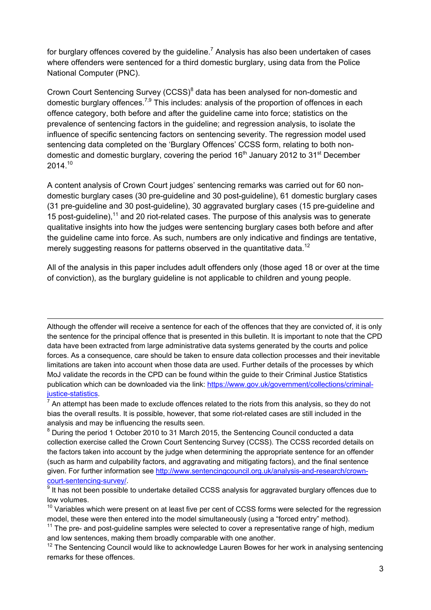for burglary offences covered by the guideline.<sup>7</sup> Analysis has also been undertaken of cases where offenders were sentenced for a third domestic burglary, using data from the Police National Computer (PNC).

Crown Court Sentencing Survey (CCSS)<sup>8</sup> data has been analysed for non-domestic and domestic burglary offences.<sup>7,9</sup> This includes: analysis of the proportion of offences in each offence category, both before and after the guideline came into force; statistics on the prevalence of sentencing factors in the guideline; and regression analysis, to isolate the influence of specific sentencing factors on sentencing severity. The regression model used sentencing data completed on the 'Burglary Offences' CCSS form, relating to both nondomestic and domestic burglary, covering the period  $16<sup>th</sup>$  January 2012 to 31<sup>st</sup> December 2014.<sup>10</sup>

A content analysis of Crown Court judges' sentencing remarks was carried out for 60 nondomestic burglary cases (30 pre-guideline and 30 post-guideline), 61 domestic burglary cases (31 pre-guideline and 30 post-guideline), 30 aggravated burglary cases (15 pre-guideline and 15 post-guideline),<sup>11</sup> and 20 riot-related cases. The purpose of this analysis was to generate qualitative insights into how the judges were sentencing burglary cases both before and after the guideline came into force. As such, numbers are only indicative and findings are tentative, merely suggesting reasons for patterns observed in the quantitative data.<sup>12</sup>

All of the analysis in this paper includes adult offenders only (those aged 18 or over at the time of conviction), as the burglary guideline is not applicable to children and young people.

Although the offender will receive a sentence for each of the offences that they are convicted of, it is only the sentence for the principal offence that is presented in this bulletin. It is important to note that the CPD data have been extracted from large administrative data systems generated by the courts and police forces. As a consequence, care should be taken to ensure data collection processes and their inevitable limitations are taken into account when those data are used. Further details of the processes by which MoJ validate the records in the CPD can be found within the guide to their Criminal Justice Statistics publication which can be downloaded via the link: https://www.gov.uk/government/collections/criminaljustice-statistics.

<u> Andreas Andreas Andreas Andreas Andreas Andreas Andreas Andreas Andreas Andreas Andreas Andreas Andreas Andr</u>

 $<sup>7</sup>$  An attempt has been made to exclude offences related to the riots from this analysis, so they do not</sup> bias the overall results. It is possible, however, that some riot-related cases are still included in the analysis and may be influencing the results seen.

 $8$  During the period 1 October 2010 to 31 March 2015, the Sentencing Council conducted a data collection exercise called the Crown Court Sentencing Survey (CCSS). The CCSS recorded details on the factors taken into account by the judge when determining the appropriate sentence for an offender (such as harm and culpability factors, and aggravating and mitigating factors), and the final sentence given. For further information see http://www.sentencingcouncil.org.uk/analysis-and-research/crowncourt-sentencing-survey/.

 $9$  It has not been possible to undertake detailed CCSS analysis for aggravated burglary offences due to low volumes.

 $10$  Variables which were present on at least five per cent of CCSS forms were selected for the regression model, these were then entered into the model simultaneously (using a "forced entry" method).

 $11$  The pre- and post-quideline samples were selected to cover a representative range of high, medium and low sentences, making them broadly comparable with one another.

<sup>&</sup>lt;sup>12</sup> The Sentencing Council would like to acknowledge Lauren Bowes for her work in analysing sentencing remarks for these offences.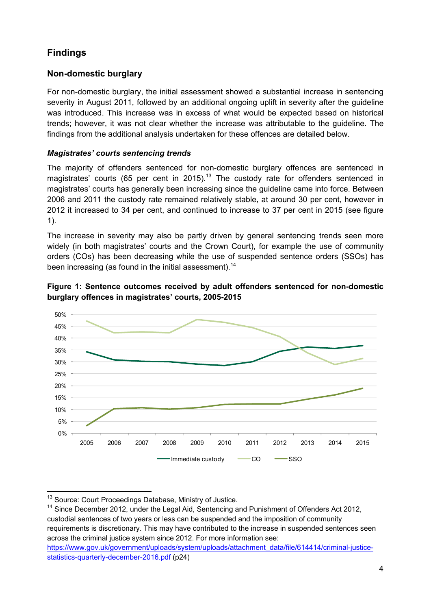# **Findings**

### **Non-domestic burglary**

For non-domestic burglary, the initial assessment showed a substantial increase in sentencing severity in August 2011, followed by an additional ongoing uplift in severity after the guideline was introduced. This increase was in excess of what would be expected based on historical trends; however, it was not clear whether the increase was attributable to the guideline. The findings from the additional analysis undertaken for these offences are detailed below.

#### *Magistrates' courts sentencing trends*

The majority of offenders sentenced for non-domestic burglary offences are sentenced in magistrates' courts (65 per cent in 2015).<sup>13</sup> The custody rate for offenders sentenced in magistrates' courts has generally been increasing since the guideline came into force. Between 2006 and 2011 the custody rate remained relatively stable, at around 30 per cent, however in 2012 it increased to 34 per cent, and continued to increase to 37 per cent in 2015 (see figure 1).

The increase in severity may also be partly driven by general sentencing trends seen more widely (in both magistrates' courts and the Crown Court), for example the use of community orders (COs) has been decreasing while the use of suspended sentence orders (SSOs) has been increasing (as found in the initial assessment).<sup>14</sup>





<sup>&</sup>lt;u> Tanzania (h. 1878).</u><br>Igarraren 18a - Antonio III.a, frantziar espainiar eta idazlea (h. 1870). <sup>13</sup> Source: Court Proceedings Database, Ministry of Justice.

<sup>14</sup> Since December 2012, under the Legal Aid, Sentencing and Punishment of Offenders Act 2012, custodial sentences of two years or less can be suspended and the imposition of community requirements is discretionary. This may have contributed to the increase in suspended sentences seen across the criminal justice system since 2012. For more information see: https://www.gov.uk/government/uploads/system/uploads/attachment\_data/file/614414/criminal-justicestatistics-quarterly-december-2016.pdf (p24)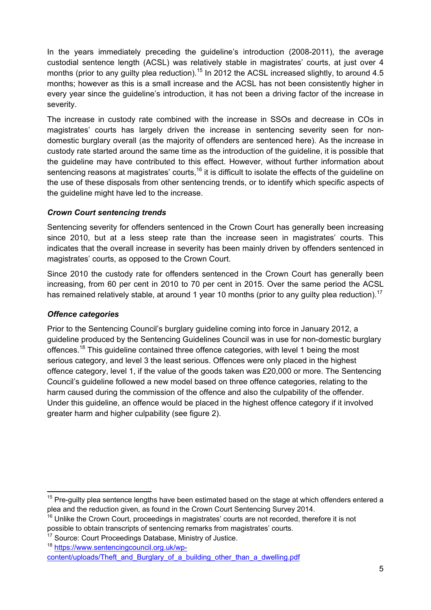In the years immediately preceding the guideline's introduction (2008-2011), the average custodial sentence length (ACSL) was relatively stable in magistrates' courts, at just over 4 months (prior to any guilty plea reduction).<sup>15</sup> In 2012 the ACSL increased slightly, to around 4.5 months; however as this is a small increase and the ACSL has not been consistently higher in every year since the guideline's introduction, it has not been a driving factor of the increase in severity.

The increase in custody rate combined with the increase in SSOs and decrease in COs in magistrates' courts has largely driven the increase in sentencing severity seen for nondomestic burglary overall (as the majority of offenders are sentenced here). As the increase in custody rate started around the same time as the introduction of the guideline, it is possible that the guideline may have contributed to this effect. However, without further information about sentencing reasons at magistrates' courts,<sup>16</sup> it is difficult to isolate the effects of the quideline on the use of these disposals from other sentencing trends, or to identify which specific aspects of the guideline might have led to the increase.

#### *Crown Court sentencing trends*

Sentencing severity for offenders sentenced in the Crown Court has generally been increasing since 2010, but at a less steep rate than the increase seen in magistrates' courts. This indicates that the overall increase in severity has been mainly driven by offenders sentenced in magistrates' courts, as opposed to the Crown Court.

Since 2010 the custody rate for offenders sentenced in the Crown Court has generally been increasing, from 60 per cent in 2010 to 70 per cent in 2015. Over the same period the ACSL has remained relatively stable, at around 1 year 10 months (prior to any guilty plea reduction).<sup>17</sup>

#### *Offence categories*

<u> Tanzania (h. 1878).</u><br>Igarra eta biztanle eta biztanle eta biztanle eta biztanle eta biztanle eta biztanle eta biztanle eta biztanl

Prior to the Sentencing Council's burglary guideline coming into force in January 2012, a guideline produced by the Sentencing Guidelines Council was in use for non-domestic burglary offences.<sup>18</sup> This guideline contained three offence categories, with level 1 being the most serious category, and level 3 the least serious. Offences were only placed in the highest offence category, level 1, if the value of the goods taken was £20,000 or more. The Sentencing Council's guideline followed a new model based on three offence categories, relating to the harm caused during the commission of the offence and also the culpability of the offender. Under this guideline, an offence would be placed in the highest offence category if it involved greater harm and higher culpability (see figure 2).

 $15$  Pre-guilty plea sentence lengths have been estimated based on the stage at which offenders entered a plea and the reduction given, as found in the Crown Court Sentencing Survey 2014.

<sup>&</sup>lt;sup>16</sup> Unlike the Crown Court, proceedings in magistrates' courts are not recorded, therefore it is not possible to obtain transcripts of sentencing remarks from magistrates' courts.

<sup>&</sup>lt;sup>17</sup> Source: Court Proceedings Database, Ministry of Justice.

<sup>18</sup> https://www.sentencingcouncil.org.uk/wpcontent/uploads/Theft\_and\_Burglary\_of\_a\_building\_other\_than\_a\_dwelling.pdf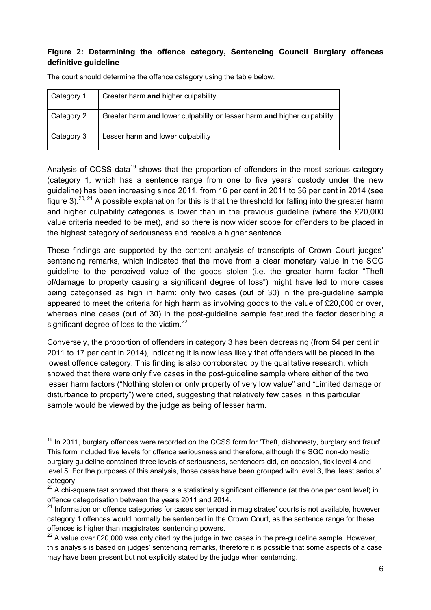#### **Figure 2: Determining the offence category, Sentencing Council Burglary offences definitive guideline**

| Category 1 | Greater harm and higher culpability                                      |
|------------|--------------------------------------------------------------------------|
| Category 2 | Greater harm and lower culpability or lesser harm and higher culpability |
| Category 3 | Lesser harm and lower culpability                                        |

The court should determine the offence category using the table below.

Analysis of CCSS data<sup>19</sup> shows that the proportion of offenders in the most serious category (category 1, which has a sentence range from one to five years' custody under the new guideline) has been increasing since 2011, from 16 per cent in 2011 to 36 per cent in 2014 (see figure 3).<sup>20, 21</sup> A possible explanation for this is that the threshold for falling into the greater harm and higher culpability categories is lower than in the previous guideline (where the £20,000 value criteria needed to be met), and so there is now wider scope for offenders to be placed in the highest category of seriousness and receive a higher sentence.

These findings are supported by the content analysis of transcripts of Crown Court judges' sentencing remarks, which indicated that the move from a clear monetary value in the SGC guideline to the perceived value of the goods stolen (i.e. the greater harm factor "Theft of/damage to property causing a significant degree of loss") might have led to more cases being categorised as high in harm: only two cases (out of 30) in the pre-guideline sample appeared to meet the criteria for high harm as involving goods to the value of £20,000 or over, whereas nine cases (out of 30) in the post-guideline sample featured the factor describing a significant degree of loss to the victim. $^{22}$ 

Conversely, the proportion of offenders in category 3 has been decreasing (from 54 per cent in 2011 to 17 per cent in 2014), indicating it is now less likely that offenders will be placed in the lowest offence category. This finding is also corroborated by the qualitative research, which showed that there were only five cases in the post-guideline sample where either of the two lesser harm factors ("Nothing stolen or only property of very low value" and "Limited damage or disturbance to property") were cited, suggesting that relatively few cases in this particular sample would be viewed by the judge as being of lesser harm.

  $19$  In 2011, burglary offences were recorded on the CCSS form for 'Theft, dishonesty, burglary and fraud'. This form included five levels for offence seriousness and therefore, although the SGC non-domestic burglary guideline contained three levels of seriousness, sentencers did, on occasion, tick level 4 and level 5. For the purposes of this analysis, those cases have been grouped with level 3, the 'least serious' category.

 $20$  A chi-square test showed that there is a statistically significant difference (at the one per cent level) in offence categorisation between the years 2011 and 2014.

 $21$  Information on offence categories for cases sentenced in magistrates' courts is not available, however category 1 offences would normally be sentenced in the Crown Court, as the sentence range for these offences is higher than magistrates' sentencing powers.

 $^{22}$  A value over £20,000 was only cited by the judge in two cases in the pre-guideline sample. However, this analysis is based on judges' sentencing remarks, therefore it is possible that some aspects of a case may have been present but not explicitly stated by the judge when sentencing.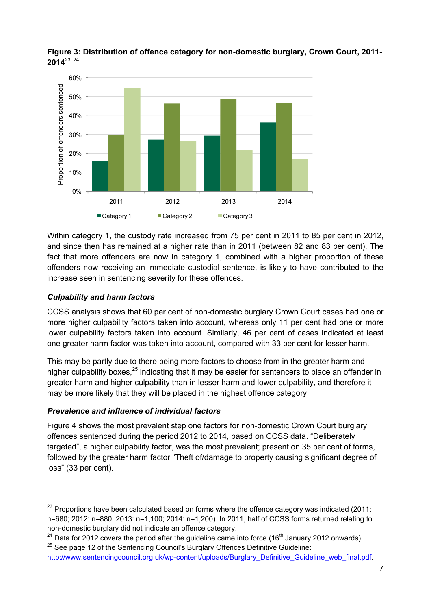

**Figure 3: Distribution of offence category for non-domestic burglary, Crown Court, 2011- 2014**23, 24

Within category 1, the custody rate increased from 75 per cent in 2011 to 85 per cent in 2012, and since then has remained at a higher rate than in 2011 (between 82 and 83 per cent). The fact that more offenders are now in category 1, combined with a higher proportion of these offenders now receiving an immediate custodial sentence, is likely to have contributed to the increase seen in sentencing severity for these offences.

#### *Culpability and harm factors*

CCSS analysis shows that 60 per cent of non-domestic burglary Crown Court cases had one or more higher culpability factors taken into account, whereas only 11 per cent had one or more lower culpability factors taken into account. Similarly, 46 per cent of cases indicated at least one greater harm factor was taken into account, compared with 33 per cent for lesser harm.

This may be partly due to there being more factors to choose from in the greater harm and higher culpability boxes.<sup>25</sup> indicating that it may be easier for sentencers to place an offender in greater harm and higher culpability than in lesser harm and lower culpability, and therefore it may be more likely that they will be placed in the highest offence category.

#### *Prevalence and influence of individual factors*

Figure 4 shows the most prevalent step one factors for non-domestic Crown Court burglary offences sentenced during the period 2012 to 2014, based on CCSS data. "Deliberately targeted", a higher culpability factor, was the most prevalent; present on 35 per cent of forms, followed by the greater harm factor "Theft of/damage to property causing significant degree of loss" (33 per cent).

  $^{23}$  Proportions have been calculated based on forms where the offence category was indicated (2011: n=680; 2012: n=880; 2013: n=1,100; 2014: n=1,200). In 2011, half of CCSS forms returned relating to non-domestic burglary did not indicate an offence category.

 $^{24}$  Data for 2012 covers the period after the guideline came into force (16<sup>th</sup> January 2012 onwards). <sup>25</sup> See page 12 of the Sentencing Council's Burglary Offences Definitive Guideline:

http://www.sentencingcouncil.org.uk/wp-content/uploads/Burglary\_Definitive\_Guideline\_web\_final.pdf.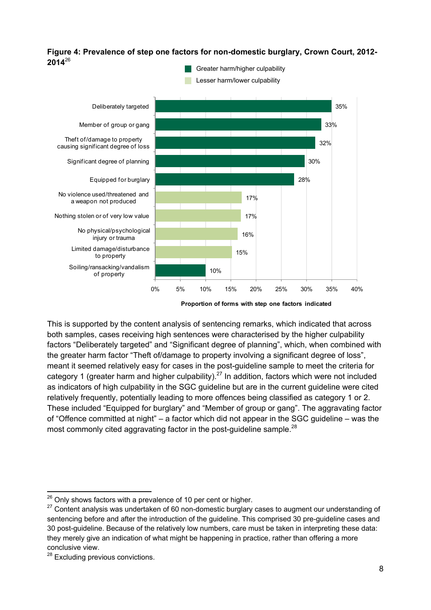#### **Figure 4: Prevalence of step one factors for non-domestic burglary, Crown Court, 2012- 2014**<sup>26</sup> Greater harm/higher culpability



**Proportion of forms with step one factors indicated**

This is supported by the content analysis of sentencing remarks, which indicated that across both samples, cases receiving high sentences were characterised by the higher culpability factors "Deliberately targeted" and "Significant degree of planning", which, when combined with the greater harm factor "Theft of/damage to property involving a significant degree of loss", meant it seemed relatively easy for cases in the post-guideline sample to meet the criteria for category 1 (greater harm and higher culpability).<sup>27</sup> In addition, factors which were not included as indicators of high culpability in the SGC guideline but are in the current guideline were cited relatively frequently, potentially leading to more offences being classified as category 1 or 2. These included "Equipped for burglary" and "Member of group or gang". The aggravating factor of "Offence committed at night" – a factor which did not appear in the SGC guideline – was the most commonly cited aggravating factor in the post-guideline sample.<sup>28</sup>

<sup>&</sup>lt;u> Termin de la provincia de la provincia de la provincia de la provincia de la provincia de la provincia de la</u>  $26$  Only shows factors with a prevalence of 10 per cent or higher.

 $27$  Content analysis was undertaken of 60 non-domestic burglary cases to augment our understanding of sentencing before and after the introduction of the guideline. This comprised 30 pre-guideline cases and 30 post-guideline. Because of the relatively low numbers, care must be taken in interpreting these data: they merely give an indication of what might be happening in practice, rather than offering a more conclusive view.

<sup>&</sup>lt;sup>28</sup> Excluding previous convictions.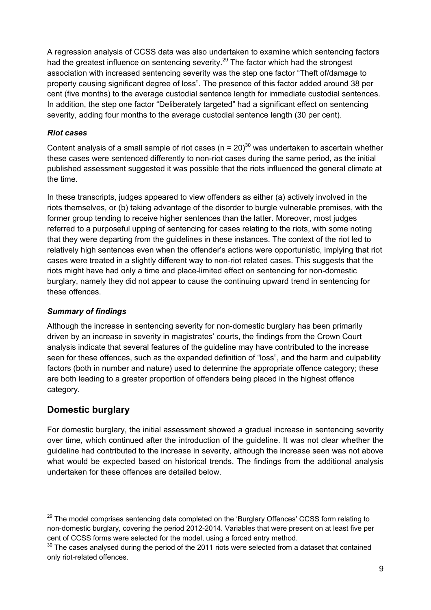A regression analysis of CCSS data was also undertaken to examine which sentencing factors had the greatest influence on sentencing severity.<sup>29</sup> The factor which had the strongest association with increased sentencing severity was the step one factor "Theft of/damage to property causing significant degree of loss". The presence of this factor added around 38 per cent (five months) to the average custodial sentence length for immediate custodial sentences. In addition, the step one factor "Deliberately targeted" had a significant effect on sentencing severity, adding four months to the average custodial sentence length (30 per cent).

### *Riot cases*

Content analysis of a small sample of riot cases ( $n = 20$ )<sup>30</sup> was undertaken to ascertain whether these cases were sentenced differently to non-riot cases during the same period, as the initial published assessment suggested it was possible that the riots influenced the general climate at the time.

In these transcripts, judges appeared to view offenders as either (a) actively involved in the riots themselves, or (b) taking advantage of the disorder to burgle vulnerable premises, with the former group tending to receive higher sentences than the latter. Moreover, most judges referred to a purposeful upping of sentencing for cases relating to the riots, with some noting that they were departing from the guidelines in these instances. The context of the riot led to relatively high sentences even when the offender's actions were opportunistic, implying that riot cases were treated in a slightly different way to non-riot related cases. This suggests that the riots might have had only a time and place-limited effect on sentencing for non-domestic burglary, namely they did not appear to cause the continuing upward trend in sentencing for these offences.

### *Summary of findings*

Although the increase in sentencing severity for non-domestic burglary has been primarily driven by an increase in severity in magistrates' courts, the findings from the Crown Court analysis indicate that several features of the guideline may have contributed to the increase seen for these offences, such as the expanded definition of "loss", and the harm and culpability factors (both in number and nature) used to determine the appropriate offence category; these are both leading to a greater proportion of offenders being placed in the highest offence category.

# **Domestic burglary**

For domestic burglary, the initial assessment showed a gradual increase in sentencing severity over time, which continued after the introduction of the guideline. It was not clear whether the guideline had contributed to the increase in severity, although the increase seen was not above what would be expected based on historical trends. The findings from the additional analysis undertaken for these offences are detailed below.

 <sup>29</sup> The model comprises sentencing data completed on the 'Burglary Offences' CCSS form relating to non-domestic burglary, covering the period 2012-2014. Variables that were present on at least five per cent of CCSS forms were selected for the model, using a forced entry method.

 $30$  The cases analysed during the period of the 2011 riots were selected from a dataset that contained only riot-related offences.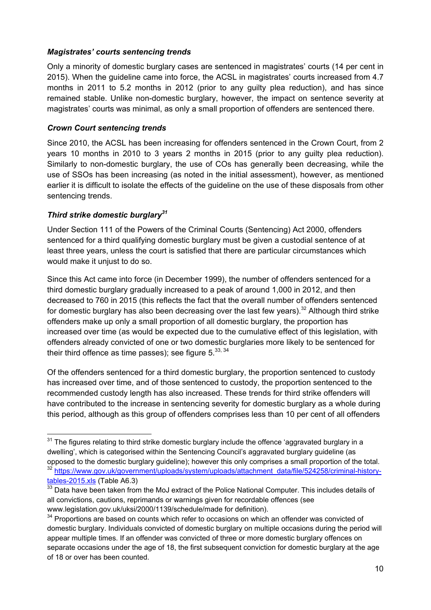#### *Magistrates' courts sentencing trends*

Only a minority of domestic burglary cases are sentenced in magistrates' courts (14 per cent in 2015). When the guideline came into force, the ACSL in magistrates' courts increased from 4.7 months in 2011 to 5.2 months in 2012 (prior to any guilty plea reduction), and has since remained stable. Unlike non-domestic burglary, however, the impact on sentence severity at magistrates' courts was minimal, as only a small proportion of offenders are sentenced there.

#### *Crown Court sentencing trends*

Since 2010, the ACSL has been increasing for offenders sentenced in the Crown Court, from 2 years 10 months in 2010 to 3 years 2 months in 2015 (prior to any guilty plea reduction). Similarly to non-domestic burglary, the use of COs has generally been decreasing, while the use of SSOs has been increasing (as noted in the initial assessment), however, as mentioned earlier it is difficult to isolate the effects of the guideline on the use of these disposals from other sentencing trends.

#### *Third strike domestic burglary<sup>31</sup>*

Under Section 111 of the Powers of the Criminal Courts (Sentencing) Act 2000, offenders sentenced for a third qualifying domestic burglary must be given a custodial sentence of at least three years, unless the court is satisfied that there are particular circumstances which would make it uniust to do so.

Since this Act came into force (in December 1999), the number of offenders sentenced for a third domestic burglary gradually increased to a peak of around 1,000 in 2012, and then decreased to 760 in 2015 (this reflects the fact that the overall number of offenders sentenced for domestic burglary has also been decreasing over the last few years).<sup>32</sup> Although third strike offenders make up only a small proportion of all domestic burglary, the proportion has increased over time (as would be expected due to the cumulative effect of this legislation, with offenders already convicted of one or two domestic burglaries more likely to be sentenced for their third offence as time passes); see figure  $5^{33,34}$ 

Of the offenders sentenced for a third domestic burglary, the proportion sentenced to custody has increased over time, and of those sentenced to custody, the proportion sentenced to the recommended custody length has also increased. These trends for third strike offenders will have contributed to the increase in sentencing severity for domestic burglary as a whole during this period, although as this group of offenders comprises less than 10 per cent of all offenders

 $31$  The figures relating to third strike domestic burglary include the offence 'aggravated burglary in a dwelling', which is categorised within the Sentencing Council's aggravated burglary guideline (as opposed to the domestic burglary guideline); however this only comprises a small proportion of the total. <sup>32</sup> https://www.gov.uk/government/uploads/system/uploads/attachment\_data/file/524258/criminal-historytables-2015.xls (Table A6.3)

 $33$  Data have been taken from the MoJ extract of the Police National Computer. This includes details of all convictions, cautions, reprimands or warnings given for recordable offences (see www.legislation.gov.uk/uksi/2000/1139/schedule/made for definition).

 $34$  Proportions are based on counts which refer to occasions on which an offender was convicted of domestic burglary. Individuals convicted of domestic burglary on multiple occasions during the period will appear multiple times. If an offender was convicted of three or more domestic burglary offences on separate occasions under the age of 18, the first subsequent conviction for domestic burglary at the age of 18 or over has been counted.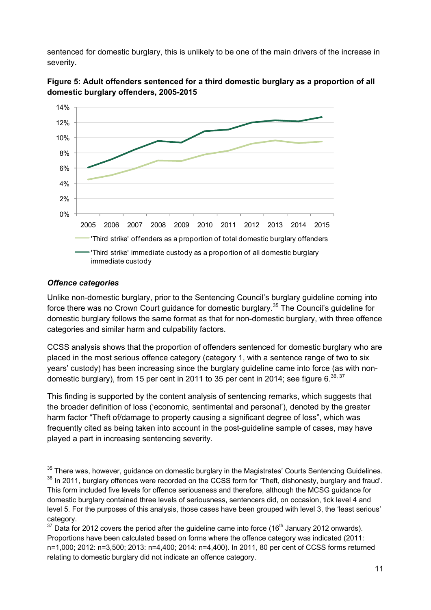sentenced for domestic burglary, this is unlikely to be one of the main drivers of the increase in severity.



**Figure 5: Adult offenders sentenced for a third domestic burglary as a proportion of all domestic burglary offenders, 2005-2015** 

#### *Offence categories*

Unlike non-domestic burglary, prior to the Sentencing Council's burglary guideline coming into force there was no Crown Court guidance for domestic burglary.<sup>35</sup> The Council's guideline for domestic burglary follows the same format as that for non-domestic burglary, with three offence categories and similar harm and culpability factors.

CCSS analysis shows that the proportion of offenders sentenced for domestic burglary who are placed in the most serious offence category (category 1, with a sentence range of two to six years' custody) has been increasing since the burglary guideline came into force (as with nondomestic burglary), from 15 per cent in 2011 to 35 per cent in 2014; see figure 6. $36, 37$ 

This finding is supported by the content analysis of sentencing remarks, which suggests that the broader definition of loss ('economic, sentimental and personal'), denoted by the greater harm factor "Theft of/damage to property causing a significant degree of loss", which was frequently cited as being taken into account in the post-guideline sample of cases, may have played a part in increasing sentencing severity.

<sup>&</sup>lt;u> Termin a San Anglica (m. 1989)</u>  $35$  There was, however, guidance on domestic burglary in the Magistrates' Courts Sentencing Guidelines.

<sup>&</sup>lt;sup>36</sup> In 2011, burglary offences were recorded on the CCSS form for 'Theft, dishonesty, burglary and fraud'. This form included five levels for offence seriousness and therefore, although the MCSG guidance for domestic burglary contained three levels of seriousness, sentencers did, on occasion, tick level 4 and level 5. For the purposes of this analysis, those cases have been grouped with level 3, the 'least serious' category.

 $37$  Data for 2012 covers the period after the guideline came into force (16<sup>th</sup> January 2012 onwards). Proportions have been calculated based on forms where the offence category was indicated (2011: n=1,000; 2012: n=3,500; 2013: n=4,400; 2014: n=4,400). In 2011, 80 per cent of CCSS forms returned relating to domestic burglary did not indicate an offence category.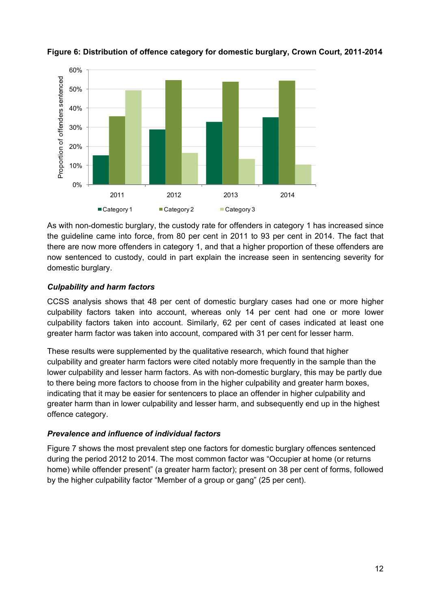

### **Figure 6: Distribution of offence category for domestic burglary, Crown Court, 2011-2014**

As with non-domestic burglary, the custody rate for offenders in category 1 has increased since the guideline came into force, from 80 per cent in 2011 to 93 per cent in 2014. The fact that there are now more offenders in category 1, and that a higher proportion of these offenders are now sentenced to custody, could in part explain the increase seen in sentencing severity for domestic burglary.

#### *Culpability and harm factors*

CCSS analysis shows that 48 per cent of domestic burglary cases had one or more higher culpability factors taken into account, whereas only 14 per cent had one or more lower culpability factors taken into account. Similarly, 62 per cent of cases indicated at least one greater harm factor was taken into account, compared with 31 per cent for lesser harm.

These results were supplemented by the qualitative research, which found that higher culpability and greater harm factors were cited notably more frequently in the sample than the lower culpability and lesser harm factors. As with non-domestic burglary, this may be partly due to there being more factors to choose from in the higher culpability and greater harm boxes, indicating that it may be easier for sentencers to place an offender in higher culpability and greater harm than in lower culpability and lesser harm, and subsequently end up in the highest offence category.

#### *Prevalence and influence of individual factors*

Figure 7 shows the most prevalent step one factors for domestic burglary offences sentenced during the period 2012 to 2014. The most common factor was "Occupier at home (or returns home) while offender present" (a greater harm factor); present on 38 per cent of forms, followed by the higher culpability factor "Member of a group or gang" (25 per cent).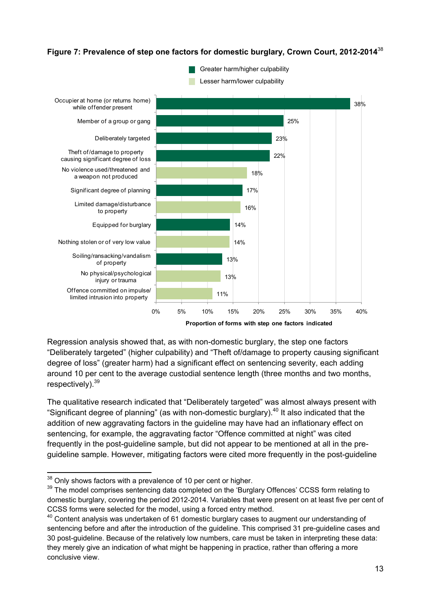#### **Figure 7: Prevalence of step one factors for domestic burglary, Crown Court, 2012-2014**<sup>38</sup>



Regression analysis showed that, as with non-domestic burglary, the step one factors "Deliberately targeted" (higher culpability) and "Theft of/damage to property causing significant degree of loss" (greater harm) had a significant effect on sentencing severity, each adding around 10 per cent to the average custodial sentence length (three months and two months, respectively).  $39$ 

The qualitative research indicated that "Deliberately targeted" was almost always present with "Significant degree of planning" (as with non-domestic burglary). $40$  It also indicated that the addition of new aggravating factors in the guideline may have had an inflationary effect on sentencing, for example, the aggravating factor "Offence committed at night" was cited frequently in the post-guideline sample, but did not appear to be mentioned at all in the preguideline sample. However, mitigating factors were cited more frequently in the post-guideline

  $38$  Only shows factors with a prevalence of 10 per cent or higher.

<sup>&</sup>lt;sup>39</sup> The model comprises sentencing data completed on the 'Burglary Offences' CCSS form relating to domestic burglary, covering the period 2012-2014. Variables that were present on at least five per cent of CCSS forms were selected for the model, using a forced entry method.

 $40$  Content analysis was undertaken of 61 domestic burglary cases to augment our understanding of sentencing before and after the introduction of the guideline. This comprised 31 pre-guideline cases and 30 post-guideline. Because of the relatively low numbers, care must be taken in interpreting these data: they merely give an indication of what might be happening in practice, rather than offering a more conclusive view.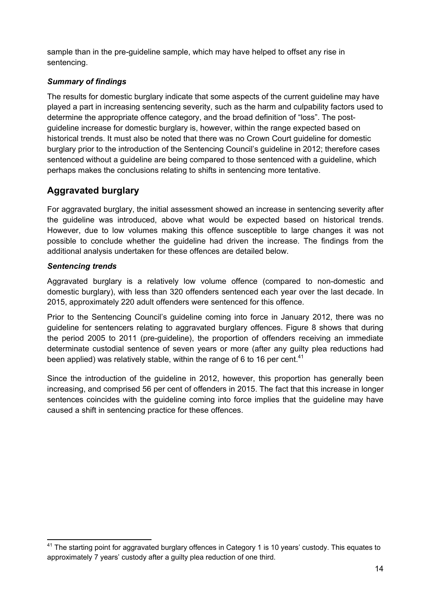sample than in the pre-guideline sample, which may have helped to offset any rise in sentencing.

#### *Summary of findings*

The results for domestic burglary indicate that some aspects of the current guideline may have played a part in increasing sentencing severity, such as the harm and culpability factors used to determine the appropriate offence category, and the broad definition of "loss". The postguideline increase for domestic burglary is, however, within the range expected based on historical trends. It must also be noted that there was no Crown Court guideline for domestic burglary prior to the introduction of the Sentencing Council's guideline in 2012; therefore cases sentenced without a guideline are being compared to those sentenced with a guideline, which perhaps makes the conclusions relating to shifts in sentencing more tentative.

# **Aggravated burglary**

For aggravated burglary, the initial assessment showed an increase in sentencing severity after the guideline was introduced, above what would be expected based on historical trends. However, due to low volumes making this offence susceptible to large changes it was not possible to conclude whether the guideline had driven the increase. The findings from the additional analysis undertaken for these offences are detailed below.

#### *Sentencing trends*

Aggravated burglary is a relatively low volume offence (compared to non-domestic and domestic burglary), with less than 320 offenders sentenced each year over the last decade. In 2015, approximately 220 adult offenders were sentenced for this offence.

Prior to the Sentencing Council's guideline coming into force in January 2012, there was no guideline for sentencers relating to aggravated burglary offences. Figure 8 shows that during the period 2005 to 2011 (pre-guideline), the proportion of offenders receiving an immediate determinate custodial sentence of seven years or more (after any guilty plea reductions had been applied) was relatively stable, within the range of 6 to 16 per cent.<sup>41</sup>

Since the introduction of the guideline in 2012, however, this proportion has generally been increasing, and comprised 56 per cent of offenders in 2015. The fact that this increase in longer sentences coincides with the guideline coming into force implies that the guideline may have caused a shift in sentencing practice for these offences.

  $41$  The starting point for aggravated burglary offences in Category 1 is 10 years' custody. This equates to approximately 7 years' custody after a guilty plea reduction of one third.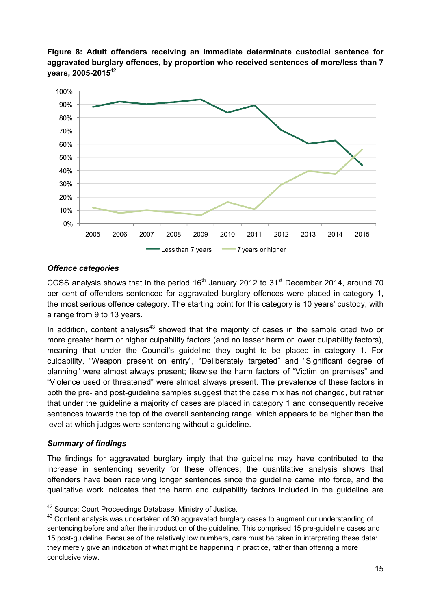**Figure 8: Adult offenders receiving an immediate determinate custodial sentence for aggravated burglary offences, by proportion who received sentences of more/less than 7 years, 2005-2015**<sup>42</sup>



#### *Offence categories*

CCSS analysis shows that in the period  $16<sup>th</sup>$  January 2012 to  $31<sup>st</sup>$  December 2014, around 70 per cent of offenders sentenced for aggravated burglary offences were placed in category 1, the most serious offence category. The starting point for this category is 10 years' custody, with a range from 9 to 13 years.

In addition, content analysis<sup>43</sup> showed that the majority of cases in the sample cited two or more greater harm or higher culpability factors (and no lesser harm or lower culpability factors), meaning that under the Council's guideline they ought to be placed in category 1. For culpability, "Weapon present on entry", "Deliberately targeted" and "Significant degree of planning" were almost always present; likewise the harm factors of "Victim on premises" and "Violence used or threatened" were almost always present. The prevalence of these factors in both the pre- and post-guideline samples suggest that the case mix has not changed, but rather that under the guideline a majority of cases are placed in category 1 and consequently receive sentences towards the top of the overall sentencing range, which appears to be higher than the level at which judges were sentencing without a guideline.

#### *Summary of findings*

The findings for aggravated burglary imply that the guideline may have contributed to the increase in sentencing severity for these offences; the quantitative analysis shows that offenders have been receiving longer sentences since the guideline came into force, and the qualitative work indicates that the harm and culpability factors included in the guideline are

 <sup>42</sup> Source: Court Proceedings Database, Ministry of Justice.

<sup>&</sup>lt;sup>43</sup> Content analysis was undertaken of 30 aggravated burglary cases to augment our understanding of sentencing before and after the introduction of the guideline. This comprised 15 pre-guideline cases and 15 post-guideline. Because of the relatively low numbers, care must be taken in interpreting these data: they merely give an indication of what might be happening in practice, rather than offering a more conclusive view.